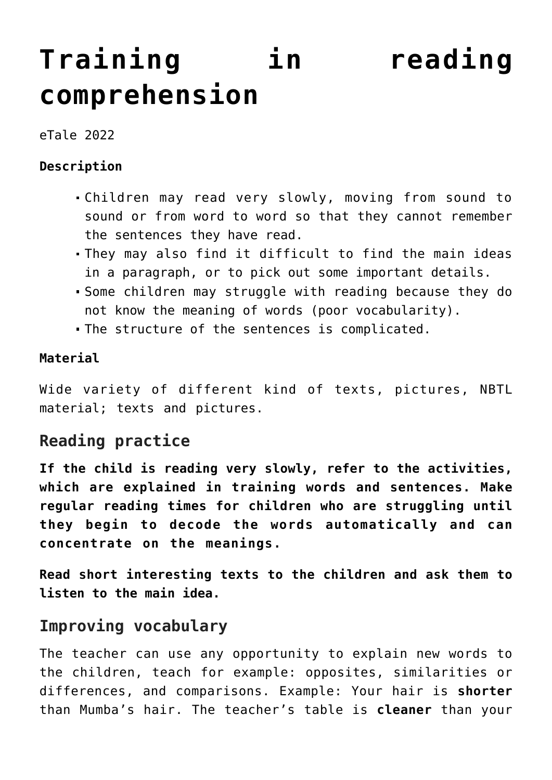# **[Training in reading](https://dev.taleafrica.com/tips/training-in-reading-comprehension/) [comprehension](https://dev.taleafrica.com/tips/training-in-reading-comprehension/)**

eTale 2022

#### **Description**

- Children may read very slowly, moving from sound to sound or from word to word so that they cannot remember the sentences they have read.
- They may also find it difficult to find the main ideas in a paragraph, or to pick out some important details.
- Some children may struggle with reading because they do not know the meaning of words (poor vocabularity).
- The structure of the sentences is complicated.

#### **Material**

Wide variety of different kind of texts, pictures, NBTL material; texts and pictures.

## **Reading practice**

**If the child is reading very slowly, refer to the activities, which are explained in training words and sentences. Make regular reading times for children who are struggling until they begin to decode the words automatically and can concentrate on the meanings.**

**Read short interesting texts to the children and ask them to listen to the main idea.**

### **Improving vocabulary**

The teacher can use any opportunity to explain new words to the children, teach for example: opposites, similarities or differences, and comparisons. Example: Your hair is **shorter** than Mumba's hair. The teacher's table is **cleaner** than your